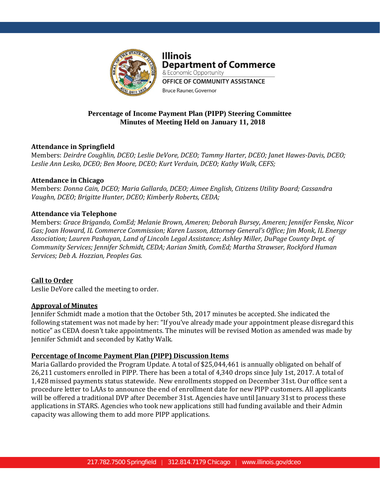

**Illinois Department of Commerce** & Economic Opportunity OFFICE OF COMMUNITY ASSISTANCE Bruce Rauner, Governor

# **Percentage of Income Payment Plan (PIPP) Steering Committee Minutes of Meeting Held on January 11, 2018**

## **Attendance in Springfield**

Members: *Deirdre Coughlin, DCEO; Leslie DeVore, DCEO; Tammy Harter, DCEO; Janet Hawes-Davis, DCEO; Leslie Ann Lesko, DCEO; Ben Moore, DCEO; Kurt Verduin, DCEO; Kathy Walk, CEFS;*

## **Attendance in Chicago**

Members: *Donna Cain, DCEO; Maria Gallardo, DCEO; Aimee English, Citizens Utility Board; Cassandra Vaughn, DCEO; Brigitte Hunter, DCEO; Kimberly Roberts, CEDA;*

## **Attendance via Telephone**

Members: *Grace Brigando, ComEd; Melanie Brown, Ameren; Deborah Bursey, Ameren; Jennifer Fenske, Nicor Gas; Joan Howard, IL Commerce Commission; Karen Lusson, Attorney General's Office; Jim Monk, IL Energy Association; Lauren Pashayan, Land of Lincoln Legal Assistance; Ashley Miller, DuPage County Dept. of Community Services; Jennifer Schmidt, CEDA; Aarian Smith, ComEd; Martha Strawser, Rockford Human Services; Deb A. Hozzian, Peoples Gas.* 

## **Call to Order**

Leslie DeVore called the meeting to order.

## **Approval of Minutes**

Jennifer Schmidt made a motion that the October 5th, 2017 minutes be accepted. She indicated the following statement was not made by her: "If you've already made your appointment please disregard this notice" as CEDA doesn't take appointments. The minutes will be revised Motion as amended was made by Jennifer Schmidt and seconded by Kathy Walk.

## **Percentage of Income Payment Plan (PIPP) Discussion Items**

Maria Gallardo provided the Program Update. A total of \$25,044,461 is annually obligated on behalf of 26,211 customers enrolled in PIPP. There has been a total of 4,340 drops since July 1st, 2017. A total of 1,428 missed payments status statewide. New enrollments stopped on December 31st. Our office sent a procedure letter to LAAs to announce the end of enrollment date for new PIPP customers. All applicants will be offered a traditional DVP after December 31st. Agencies have until January 31st to process these applications in STARS. Agencies who took new applications still had funding available and their Admin capacity was allowing them to add more PIPP applications.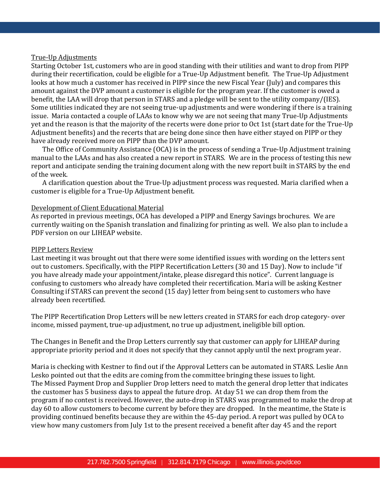#### True-Up Adjustments

Starting October 1st, customers who are in good standing with their utilities and want to drop from PIPP during their recertification, could be eligible for a True-Up Adjustment benefit. The True-Up Adjustment looks at how much a customer has received in PIPP since the new Fiscal Year (July) and compares this amount against the DVP amount a customer is eligible for the program year. If the customer is owed a benefit, the LAA will drop that person in STARS and a pledge will be sent to the utility company/(IES). Some utilities indicated they are not seeing true-up adjustments and were wondering if there is a training issue. Maria contacted a couple of LAAs to know why we are not seeing that many True-Up Adjustments yet and the reason is that the majority of the recerts were done prior to Oct 1st (start date for the True-Up Adjustment benefits) and the recerts that are being done since then have either stayed on PIPP or they have already received more on PIPP than the DVP amount.

The Office of Community Assistance (OCA) is in the process of sending a True-Up Adjustment training manual to the LAAs and has also created a new report in STARS. We are in the process of testing this new report and anticipate sending the training document along with the new report built in STARS by the end of the week.

A clarification question about the True-Up adjustment process was requested. Maria clarified when a customer is eligible for a True-Up Adjustment benefit.

#### Development of Client Educational Material

As reported in previous meetings, OCA has developed a PIPP and Energy Savings brochures. We are currently waiting on the Spanish translation and finalizing for printing as well. We also plan to include a PDF version on our LIHEAP website.

#### PIPP Letters Review

Last meeting it was brought out that there were some identified issues with wording on the letters sent out to customers. Specifically, with the PIPP Recertification Letters (30 and 15 Day). Now to include "if you have already made your appointment/intake, please disregard this notice". Current language is confusing to customers who already have completed their recertification. Maria will be asking Kestner Consulting if STARS can prevent the second (15 day) letter from being sent to customers who have already been recertified.

The PIPP Recertification Drop Letters will be new letters created in STARS for each drop category- over income, missed payment, true-up adjustment, no true up adjustment, ineligible bill option.

The Changes in Benefit and the Drop Letters currently say that customer can apply for LIHEAP during appropriate priority period and it does not specify that they cannot apply until the next program year.

Maria is checking with Kestner to find out if the Approval Letters can be automated in STARS. Leslie Ann Lesko pointed out that the edits are coming from the committee bringing these issues to light. The Missed Payment Drop and Supplier Drop letters need to match the general drop letter that indicates the customer has 5 business days to appeal the future drop. At day 51 we can drop them from the program if no contest is received. However, the auto-drop in STARS was programmed to make the drop at day 60 to allow customers to become current by before they are dropped. In the meantime, the State is providing continued benefits because they are within the 45-day period. A report was pulled by OCA to view how many customers from July 1st to the present received a benefit after day 45 and the report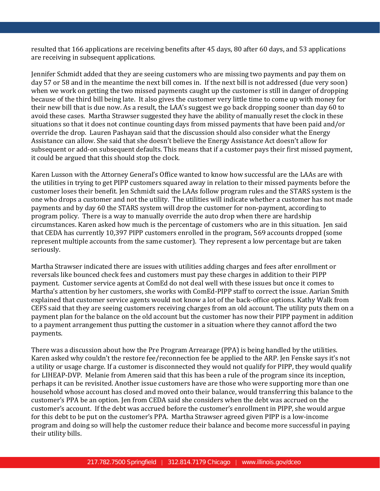resulted that 166 applications are receiving benefits after 45 days, 80 after 60 days, and 53 applications are receiving in subsequent applications.

Jennifer Schmidt added that they are seeing customers who are missing two payments and pay them on day 57 or 58 and in the meantime the next bill comes in. If the next bill is not addressed (due very soon) when we work on getting the two missed payments caught up the customer is still in danger of dropping because of the third bill being late. It also gives the customer very little time to come up with money for their new bill that is due now. As a result, the LAA's suggest we go back dropping sooner than day 60 to avoid these cases. Martha Strawser suggested they have the ability of manually reset the clock in these situations so that it does not continue counting days from missed payments that have been paid and/or override the drop. Lauren Pashayan said that the discussion should also consider what the Energy Assistance can allow. She said that she doesn't believe the Energy Assistance Act doesn't allow for subsequent or add-on subsequent defaults. This means that if a customer pays their first missed payment, it could be argued that this should stop the clock.

Karen Lusson with the Attorney General's Office wanted to know how successful are the LAAs are with the utilities in trying to get PIPP customers squared away in relation to their missed payments before the customer loses their benefit. Jen Schmidt said the LAAs follow program rules and the STARS system is the one who drops a customer and not the utility. The utilities will indicate whether a customer has not made payments and by day 60 the STARS system will drop the customer for non-payment, according to program policy. There is a way to manually override the auto drop when there are hardship circumstances. Karen asked how much is the percentage of customers who are in this situation. Jen said that CEDA has currently 10,397 PIPP customers enrolled in the program, 569 accounts dropped (some represent multiple accounts from the same customer). They represent a low percentage but are taken seriously.

Martha Strawser indicated there are issues with utilities adding charges and fees after enrollment or reversals like bounced check fees and customers must pay these charges in addition to their PIPP payment. Customer service agents at ComEd do not deal well with these issues but once it comes to Martha's attention by her customers, she works with ComEd-PIPP staff to correct the issue. Aarian Smith explained that customer service agents would not know a lot of the back-office options. Kathy Walk from CEFS said that they are seeing customers receiving charges from an old account. The utility puts them on a payment plan for the balance on the old account but the customer has now their PIPP payment in addition to a payment arrangement thus putting the customer in a situation where they cannot afford the two payments.

There was a discussion about how the Pre Program Arrearage (PPA) is being handled by the utilities. Karen asked why couldn't the restore fee/reconnection fee be applied to the ARP. Jen Fenske says it's not a utility or usage charge. If a customer is disconnected they would not qualify for PIPP, they would qualify for LIHEAP-DVP. Melanie from Ameren said that this has been a rule of the program since its inception, perhaps it can be revisited. Another issue customers have are those who were supporting more than one household whose account has closed and moved onto their balance, would transferring this balance to the customer's PPA be an option. Jen from CEDA said she considers when the debt was accrued on the customer's account. If the debt was accrued before the customer's enrollment in PIPP, she would argue for this debt to be put on the customer's PPA. Martha Strawser agreed given PIPP is a low-income program and doing so will help the customer reduce their balance and become more successful in paying their utility bills.